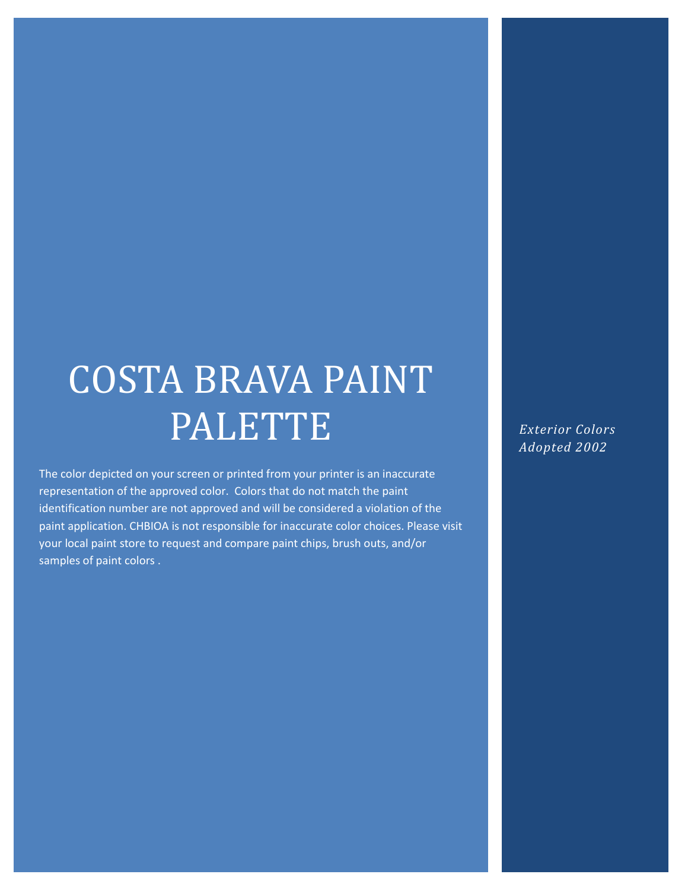# COSTA BRAVA PAINT PALETTE

The color depicted on your screen or printed from your printer is an inaccurate representation of the approved color. Colors that do not match the paint identification number are not approved and will be considered a violation of the paint application. CHBIOA is not responsible for inaccurate color choices. Please visit your local paint store to request and compare paint chips, brush outs, and/or samples of paint colors .

*Exterior Colors Adopted 2002*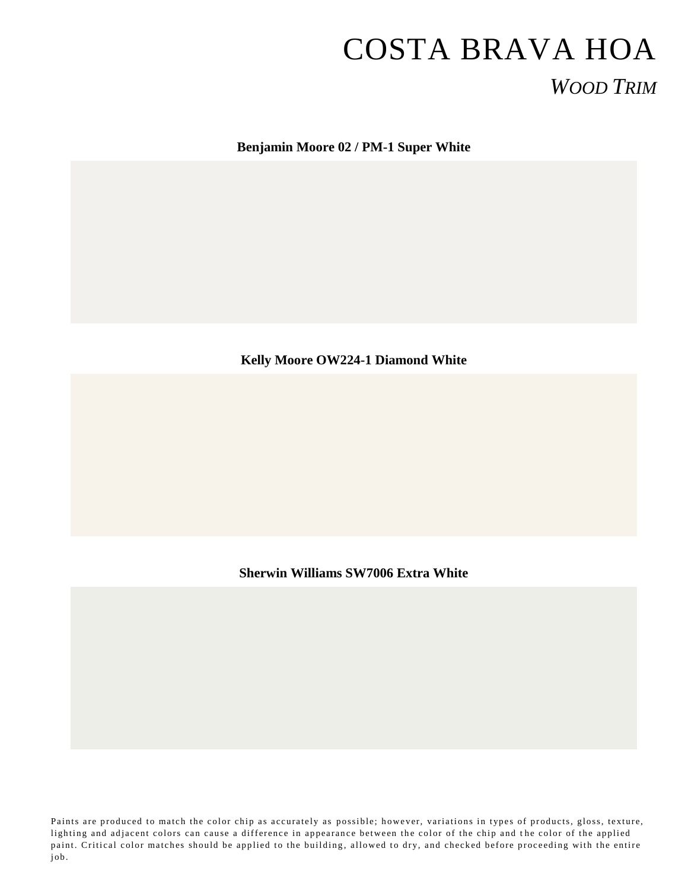## COSTA BRAVA HOA *WOOD TRIM*

**Benjamin Moore 02 / PM-1 Super White**

#### **Kelly Moore OW224-1 Diamond White**

#### **Sherwin Williams SW7006 Extra White**

Paints are produced to match the color chip as accurately as possible; however, variations in types of products, gloss, texture, lighting and adjacent colors can cause a difference in appearance between the color of the chip and the color of the applied paint. Critical color matches should be applied to the building, allowed to dry, and checked before proceeding with the entire job .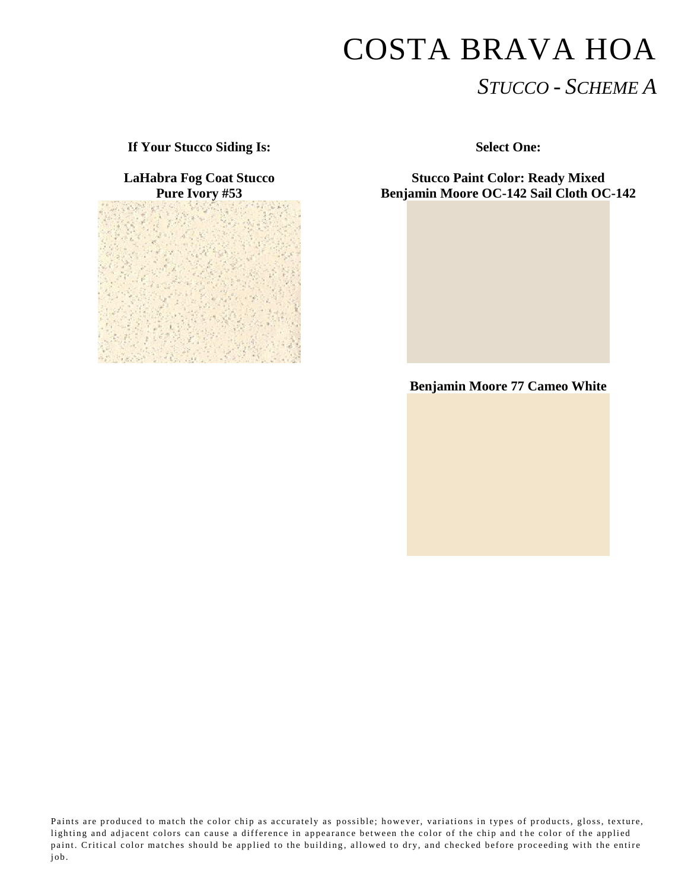## COSTA BRAVA HOA *STUCCO - SCHEME A*

**If Your Stucco Siding Is: Select One:**

**LaHabra Fog Coat Stucco Pure Ivory #53**



**Stucco Paint Color: Ready Mixed Benjamin Moore OC-142 Sail Cloth OC-142**



Paints are produced to match the color chip as accurately as possible; however, variations in types of products, gloss, texture, lighting and adjacent colors can cause a difference in appearance between the color of the chip and the color of the applied paint. Critical color matches should be applied to the building, allowed to dry, and checked before proceeding with the entire job.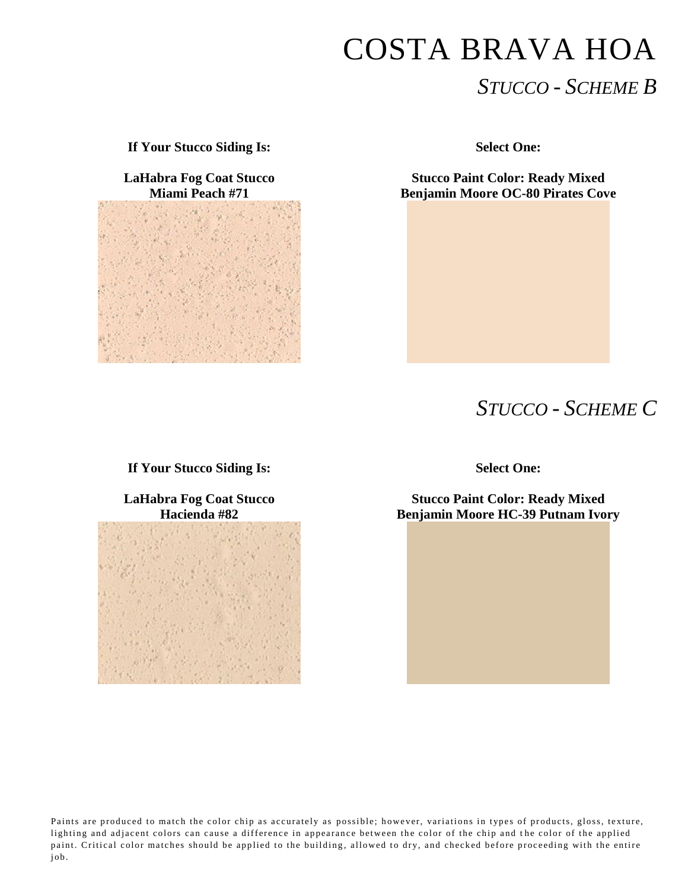# COSTA BRAVA HOA *STUCCO - SCHEME B*

**If Your Stucco Siding Is: Select One:**

**LaHabra Fog Coat Stucco Miami Peach #71**



**Stucco Paint Color: Ready Mixed Benjamin Moore OC-80 Pirates Cove**

## *STUCCO - SCHEME C*

#### **If Your Stucco Siding Is: Select One:**

**LaHabra Fog Coat Stucco Hacienda #82**



**Stucco Paint Color: Ready Mixed Benjamin Moore HC-39 Putnam Ivory**

Paints are produced to match the color chip as accurately as possible; however, variations in types of products, gloss, texture, lighting and adjacent colors can cause a difference in appearance between the color of the chip and the color of the applied paint. Critical color matches should be applied to the building, allowed to dry, and checked before proceeding with the entire job.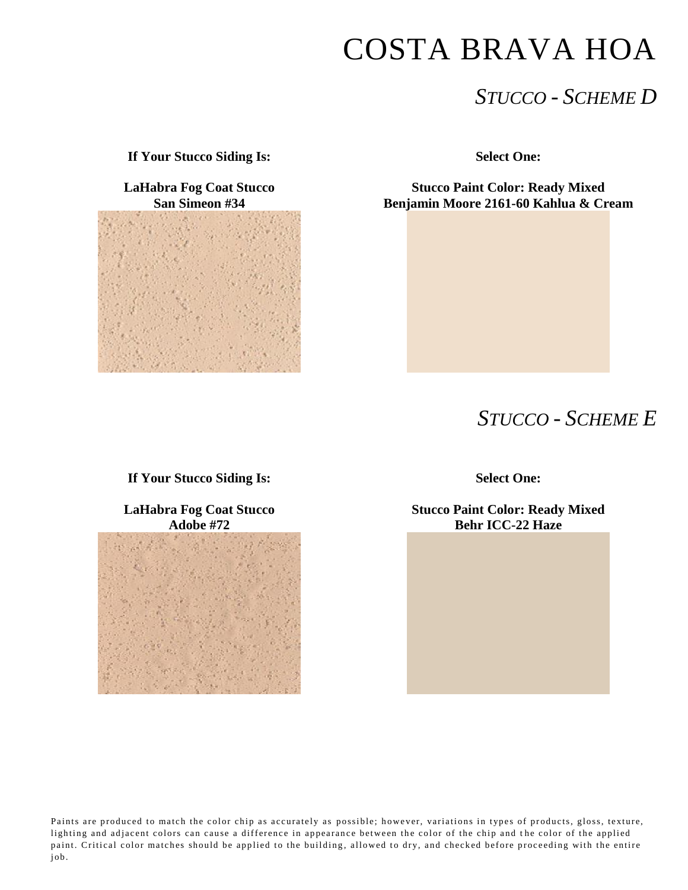## COSTA BRAVA HOA

## *STUCCO - SCHEME D*

**If Your Stucco Siding Is: Select One:**

**LaHabra Fog Coat Stucco San Simeon #34**



**Stucco Paint Color: Ready Mixed Benjamin Moore 2161-60 Kahlua & Cream**

### *STUCCO - SCHEME E*

**If Your Stucco Siding Is: Select One:**

**LaHabra Fog Coat Stucco Adobe #72**



**Stucco Paint Color: Ready Mixed Behr ICC-22 Haze**

Paints are produced to match the color chip as accurately as possible; however, variations in types of products, gloss, texture, lighting and adjacent colors can cause a difference in appearance between the color of the chip and the color of the applied paint. Critical color matches should be applied to the building, allowed to dry, and checked before proceeding with the entire job.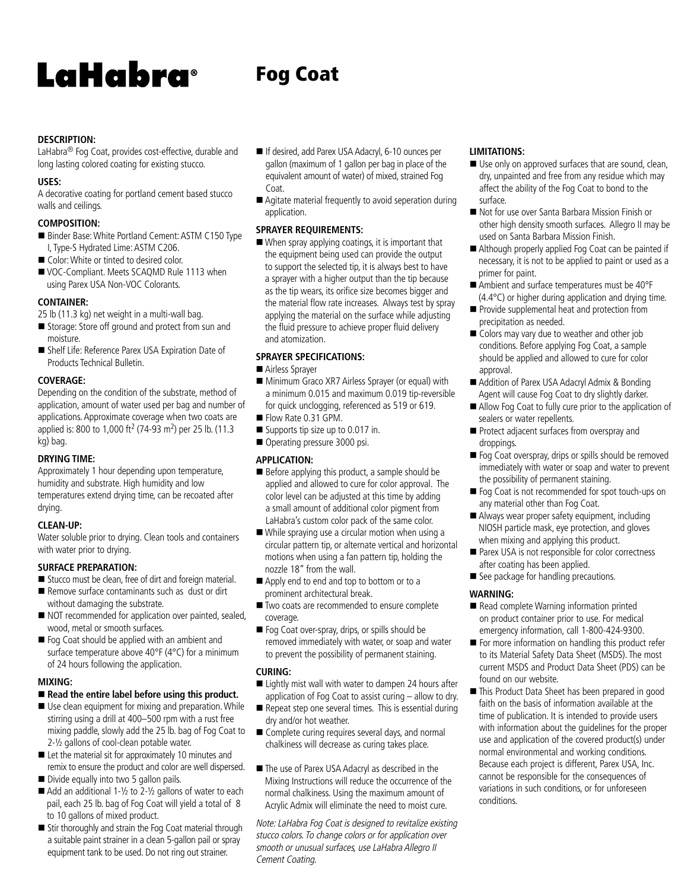# LaHabra®

## Fog Coat

#### **DESCRIPTION:**

LaHabra<sup>®</sup> Fog Coat, provides cost-effective, durable and long lasting colored coating for existing stucco.

#### **USES:**

A decorative coating for portland cement based stucco walls and ceilings.

#### **COMPOSITION:**

- Binder Base: White Portland Cement: ASTM C150 Type I, Type-S Hydrated Lime: ASTM C206.
- Color: White or tinted to desired color.
- VOC-Compliant. Meets SCAQMD Rule 1113 when using Parex USA Non-VOC Colorants.

#### **CONTAINER:**

25 lb (11.3 kg) net weight in a multi-wall bag.

- Storage: Store off ground and protect from sun and moisture.
- Shelf Life: Reference Parex USA Expiration Date of Products Technical Bulletin.

#### **COVERAGE:**

Depending on the condition of the substrate, method of application, amount of water used per bag and number of applications. Approximate coverage when two coats are applied is: 800 to 1,000 ft<sup>2</sup> (74-93 m<sup>2</sup>) per 25 lb. (11.3 kg) bag.

#### **DRYING TIME:**

Approximately 1 hour depending upon temperature, humidity and substrate. High humidity and low temperatures extend drying time, can be recoated after drying.

#### **CLEAN-UP:**

Water soluble prior to drying. Clean tools and containers with water prior to drying.

#### **SURFACE PREPARATION:**

- Stucco must be clean, free of dirt and foreign material.
- Remove surface contaminants such as dust or dirt without damaging the substrate.
- NOT recommended for application over painted, sealed, wood, metal or smooth surfaces.
- $\blacksquare$  Fog Coat should be applied with an ambient and surface temperature above 40°F (4°C) for a minimum of 24 hours following the application.

#### **MIXING:**

#### ■ Read the entire label before using this product.

- $\blacksquare$  Use clean equipment for mixing and preparation. While stirring using a drill at 400–500 rpm with a rust free mixing paddle, slowly add the 25 lb. bag of Fog Coat to 2-½ gallons of cool-clean potable water.
- Let the material sit for approximately 10 minutes and remix to ensure the product and color are well dispersed.
- Divide equally into two 5 gallon pails.
- $\blacksquare$  Add an additional 1-1/2 to 2-1/2 gallons of water to each pail, each 25 lb. bag of Fog Coat will yield a total of 8 to 10 gallons of mixed product.
- Stir thoroughly and strain the Fog Coat material through a suitable paint strainer in a clean 5-gallon pail or spray equipment tank to be used. Do not ring out strainer.
- If desired, add Parex USA Adacryl, 6-10 ounces per gallon (maximum of 1 gallon per bag in place of the equivalent amount of water) of mixed, strained Fog Coat.
- Agitate material frequently to avoid seperation during application.

#### **SPRAYER REQUIREMENTS:**

 $\blacksquare$  When spray applying coatings, it is important that the equipment being used can provide the output to support the selected tip, it is always best to have a sprayer with a higher output than the tip because as the tip wears, its orifice size becomes bigger and the material flow rate increases. Always test by spray applying the material on the surface while adjusting the fluid pressure to achieve proper fluid delivery and atomization.

#### **SPRAYER SPECIFICATIONS:**

- Airless Sprayer
- Minimum Graco XR7 Airless Sprayer (or equal) with a minimum 0.015 and maximum 0.019 tip-reversible for quick unclogging, referenced as 519 or 619.
- Flow Rate 0.31 GPM.
- $\blacksquare$  Supports tip size up to 0.017 in.
- Operating pressure 3000 psi.

#### **APPLICATION:**

- $\blacksquare$  Before applying this product, a sample should be applied and allowed to cure for color approval. The color level can be adjusted at this time by adding a small amount of additional color pigment from LaHabra's custom color pack of the same color.
- $\blacksquare$  While spraying use a circular motion when using a circular pattern tip, or alternate vertical and horizontal motions when using a fan pattern tip, holding the nozzle 18" from the wall.
- Apply end to end and top to bottom or to a prominent architectural break.
- Two coats are recommended to ensure complete coverage.
- Fog Coat over-spray, drips, or spills should be removed immediately with water, or soap and water to prevent the possibility of permanent staining.

#### **CURING:**

- Lightly mist wall with water to dampen 24 hours after application of Fog Coat to assist curing – allow to dry.
- $\blacksquare$  Repeat step one several times. This is essential during dry and/or hot weather.
- $\blacksquare$  Complete curing requires several days, and normal chalkiness will decrease as curing takes place.
- The use of Parex USA Adacryl as described in the Mixing Instructions will reduce the occurrence of the normal chalkiness. Using the maximum amount of Acrylic Admix will eliminate the need to moist cure.

Note: LaHabra Fog Coat is designed to revitalize existing stucco colors. To change colors or for application over smooth or unusual surfaces, use LaHabra Allegro II Cement Coating.

#### **LIMITATIONS:**

- Use only on approved surfaces that are sound, clean, dry, unpainted and free from any residue which may affect the ability of the Fog Coat to bond to the surface.
- Not for use over Santa Barbara Mission Finish or other high density smooth surfaces. Allegro II may be used on Santa Barbara Mission Finish.
- Although properly applied Fog Coat can be painted if necessary, it is not to be applied to paint or used as a primer for paint.
- Ambient and surface temperatures must be 40°F (4.4°C) or higher during application and drying time.
- Provide supplemental heat and protection from precipitation as needed.
- Colors may vary due to weather and other job conditions. Before applying Fog Coat, a sample should be applied and allowed to cure for color approval.
- Addition of Parex USA Adacryl Admix & Bonding Agent will cause Fog Coat to dry slightly darker.
- Allow Fog Coat to fully cure prior to the application of sealers or water repellents.
- Protect adjacent surfaces from overspray and droppings.
- Fog Coat overspray, drips or spills should be removed immediately with water or soap and water to prevent the possibility of permanent staining.
- Fog Coat is not recommended for spot touch-ups on any material other than Fog Coat.
- $\blacksquare$  Always wear proper safety equipment, including NIOSH particle mask, eye protection, and gloves when mixing and applying this product.
- Parex USA is not responsible for color correctness after coating has been applied.
- See package for handling precautions.

#### **WARNING:**

- Read complete Warning information printed on product container prior to use. For medical emergency information, call 1-800-424-9300.
- For more information on handling this product refer to its Material Safety Data Sheet (MSDS). The most current MSDS and Product Data Sheet (PDS) can be found on our website.
- This Product Data Sheet has been prepared in good faith on the basis of information available at the time of publication. It is intended to provide users with information about the guidelines for the proper use and application of the covered product(s) under normal environmental and working conditions. Because each project is different, Parex USA, Inc. cannot be responsible for the consequences of variations in such conditions, or for unforeseen conditions.